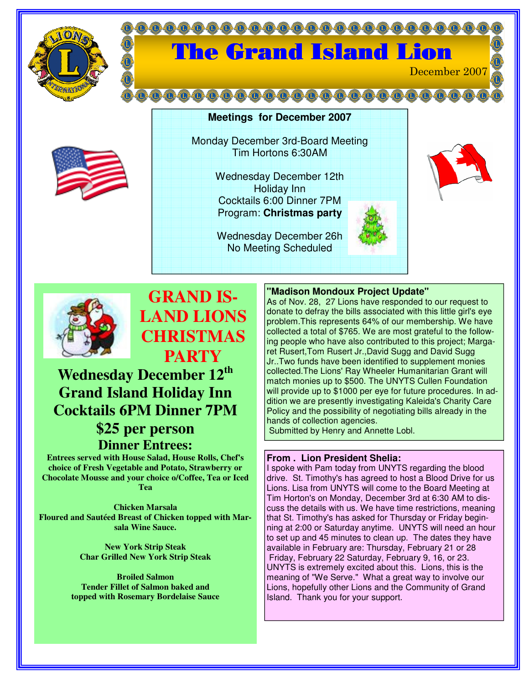

# **000000000000000000** The Grand Island Lion December 2007



Monday December 3rd-Board Meeting Tim Hortons 6:30AM

**Meetings for December 2007**

Wednesday December 12th Holiday Inn Cocktails 6:00 Dinner 7PM Program: **Christmas party**

Wednesday December 26h No Meeting Scheduled





## **GRAND IS-LAND LIONS CHRISTMAS PARTY**

**Wednesday December 12 th Grand Island Holiday Inn Cocktails 6PM Dinner 7PM \$25 per person Dinner Entrees:**

**Entrees served with House Salad, House Rolls, Chef's choice of Fresh Vegetable and Potato, Strawberry or Chocolate Mousse and your choice o/Coffee, Tea or Iced Tea**

**Chicken Marsala Floured and Sautéed Breast of Chicken topped with Marsala Wine Sauce.**

> **New York Strip Steak Char Grilled New York Strip Steak**

**Broiled Salmon Tender Fillet of Salmon baked and topped with Rosemary Bordelaise Sauce**

### **"Madison Mondoux Project Update"**

As of Nov. 28, 27 Lions have responded to our request to donate to defray the bills associated with this little girl's eye problem.This represents 64% of our membership. We have collected a total of \$765. We are most grateful to the following people who have also contributed to this project; Margaret Rusert,Tom Rusert Jr.,David Sugg and David Sugg Jr..Two funds have been identified to supplement monies collected.The Lions' Ray Wheeler Humanitarian Grant will match monies up to \$500. The UNYTS Cullen Foundation will provide up to \$1000 per eye for future procedures. In addition we are presently investigating Kaleida's Charity Care Policy and the possibility of negotiating bills already in the hands of collection agencies.

Submitted by Henry and Annette Lobl.

#### **From . Lion President Shelia:**

I spoke with Pam today from UNYTS regarding the blood drive. St. Timothy's has agreed to host a Blood Drive for us Lions. Lisa from UNYTS will come to the Board Meeting at Tim Horton's on Monday, December 3rd at 6:30 AM to discuss the details with us. We have time restrictions, meaning that St. Timothy's has asked for Thursday or Friday beginning at 2:00 or Saturday anytime. UNYTS will need an hour to set up and 45 minutes to clean up. The dates they have available in February are: Thursday, February 21 or 28 Friday, February 22 Saturday, February 9, 16, or 23. UNYTS is extremely excited about this. Lions, this is the meaning of "We Serve." What a great way to involve our Lions, hopefully other Lions and the Community of Grand Island. Thank you for your support.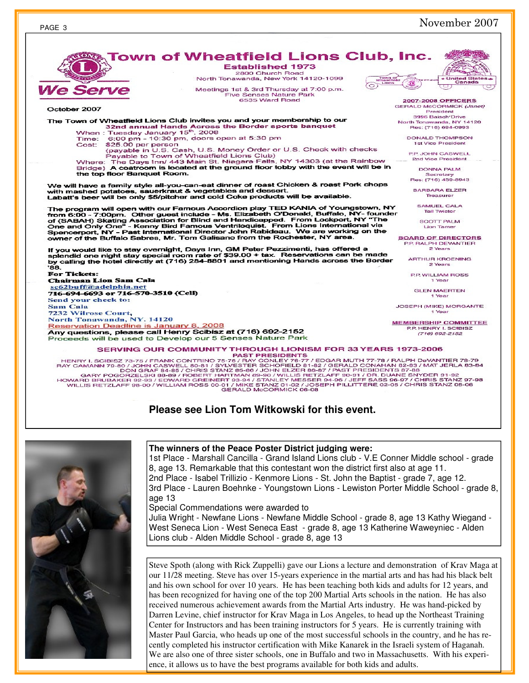

own of Wheatfield Lions Club, Inc. **Established 1973** 

HENRY I. SCIBISZ 73-75 / FRANK CONTRINO 75-80 / JOHN CASWELL 80-81 / SYLVESTER SCHOFIELD 81-82 / GERALD CONAHAN 82-83 / MAT JERLA 83-84<br>DON GRAF 84-85 / CHRIS STANZ 85-86 / JOHN ELZER 86-87 / SYLVESTER SCHOFIELD 81-82 / GE

## **Please see Lion Tom Witkowski for this event.**



#### **The winners of the Peace Poster District judging were:**

1st Place - Marshall Cancilla - Grand Island Lions club - V.E Conner Middle school - grade 8, age 13. Remarkable that this contestant won the district first also at age 11. 2nd Place - Isabel Trillizio - Kenmore Lions - St. John the Baptist - grade 7, age 12. 3rd Place - Lauren Boehnke - Youngstown Lions - Lewiston Porter Middle School - grade 8, age 13

Special Commendations were awarded to

Julia Wright - Newfane Lions - Newfane Middle School - grade 8, age 13 Kathy Wiegand - West Seneca Lion - West Seneca East - grade 8, age 13 Katherine Waweyniec - Alden Lions club - Alden Middle School - grade 8, age 13

Steve Spoth (along with Rick Zuppelli) gave our Lions a lecture and demonstration of Krav Maga at our 11/28 meeting. Steve has over 15-years experience in the martial arts and has had his black belt and his own school for over 10 years. He has been teaching both kids and adults for 12 years, and has been recognized for having one of the top 200 Martial Arts schools in the nation. He has also received numerous achievement awards from the Martial Arts industry. He was hand-picked by Darren Levine, chief instructor for Krav Maga in Los Angeles, to head up the Northeast Training Center for Instructors and has been training instructors for 5 years. He is currently training with Master Paul Garcia, who heads up one of the most successful schools in the country, and he has recently completed his instructor certification with Mike Kanarek in the Israeli system of Haganah. We are also one of three sister schools, one in Buffalo and two in Massachusetts. With his experience, it allows us to have the best programs available for both kids and adults.